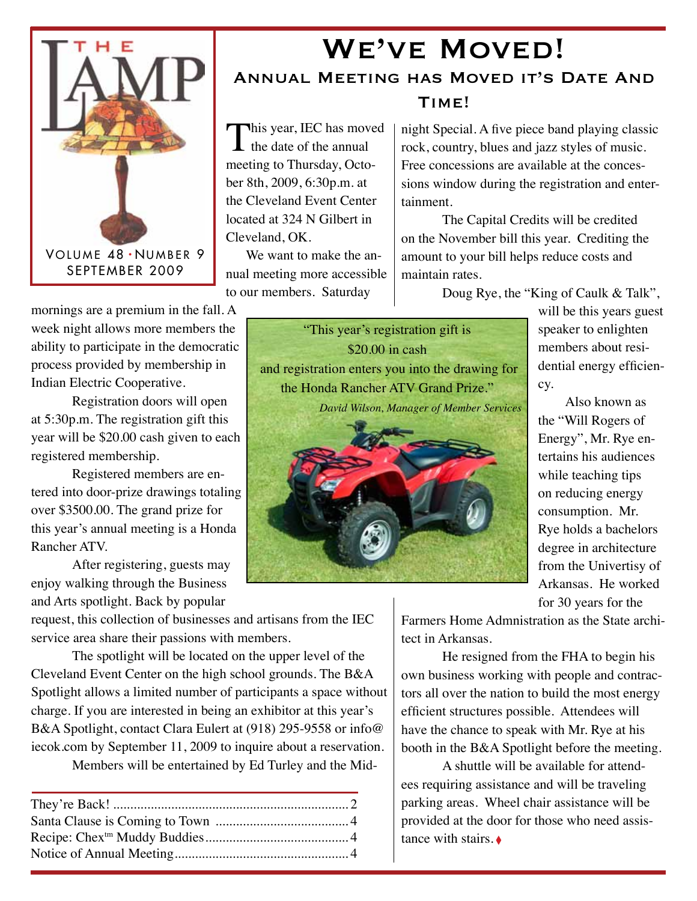

## WE'VE MOVED! Annual Meeting has Moved it's Date And Time!

This year, IEC has moved  $\mathbf{I}$  the date of the annual meeting to Thursday, October 8th, 2009, 6:30p.m. at the Cleveland Event Center located at 324 N Gilbert in Cleveland, OK.

 We want to make the annual meeting more accessible to our members. Saturday

night Special. A five piece band playing classic rock, country, blues and jazz styles of music. Free concessions are available at the concessions window during the registration and entertainment.

The Capital Credits will be credited on the November bill this year. Crediting the amount to your bill helps reduce costs and maintain rates.

Doug Rye, the "King of Caulk & Talk",

mornings are a premium in the fall. A week night allows more members the ability to participate in the democratic process provided by membership in Indian Electric Cooperative.

Registration doors will open at 5:30p.m. The registration gift this year will be \$20.00 cash given to each registered membership.

Registered members are entered into door-prize drawings totaling over \$3500.00. The grand prize for this year's annual meeting is a Honda Rancher ATV.

After registering, guests may enjoy walking through the Business and Arts spotlight. Back by popular

request, this collection of businesses and artisans from the IEC service area share their passions with members.

The spotlight will be located on the upper level of the Cleveland Event Center on the high school grounds. The B&A Spotlight allows a limited number of participants a space without charge. If you are interested in being an exhibitor at this year's B&A Spotlight, contact Clara Eulert at (918) 295-9558 or info@ iecok.com by September 11, 2009 to inquire about a reservation.

Members will be entertained by Ed Turley and the Mid-

"This year's registration gift is \$20.00 in cash and registration enters you into the drawing for the Honda Rancher ATV Grand Prize." *David Wilson, Manager of Member Services*



will be this years guest speaker to enlighten members about residential energy efficiency.

Also known as the "Will Rogers of Energy", Mr. Rye entertains his audiences while teaching tips on reducing energy consumption. Mr. Rye holds a bachelors degree in architecture from the Univertisy of Arkansas. He worked for 30 years for the

Farmers Home Admnistration as the State architect in Arkansas.

He resigned from the FHA to begin his own business working with people and contractors all over the nation to build the most energy efficient structures possible. Attendees will have the chance to speak with Mr. Rye at his booth in the B&A Spotlight before the meeting.

A shuttle will be available for attendees requiring assistance and will be traveling parking areas. Wheel chair assistance will be provided at the door for those who need assistance with stairs. ♦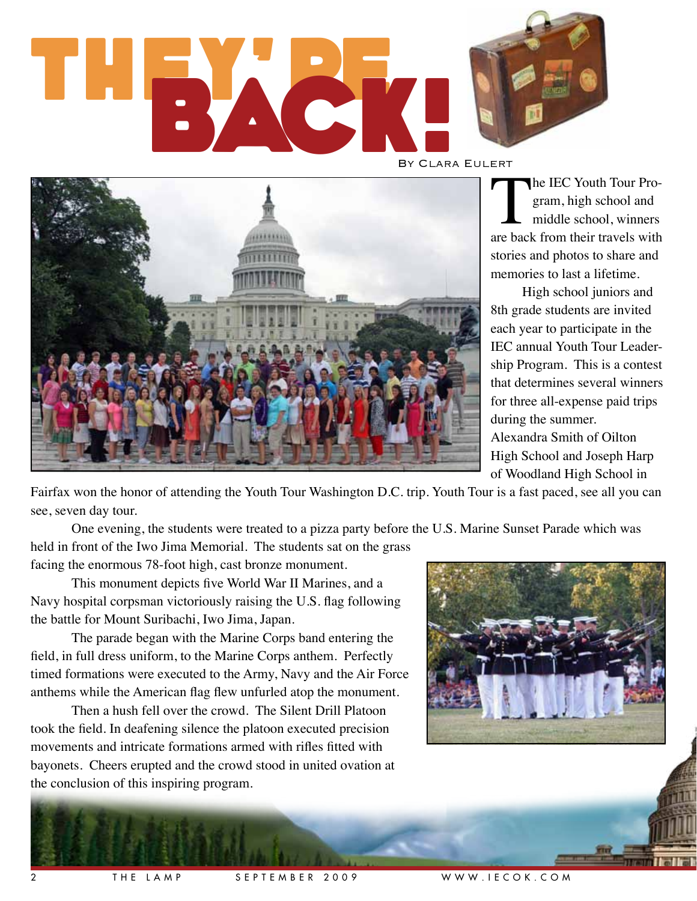# THEY, 27 BACK! By Clara Eulert



The IEC Youth Tour Program, high school and<br>
middle school, winners<br>
are back from their travels with gram, high school and middle school, winners stories and photos to share and memories to last a lifetime.

High school juniors and 8th grade students are invited each year to participate in the IEC annual Youth Tour Leadership Program. This is a contest that determines several winners for three all-expense paid trips during the summer. Alexandra Smith of Oilton High School and Joseph Harp

of Woodland High School in

Fairfax won the honor of attending the Youth Tour Washington D.C. trip. Youth Tour is a fast paced, see all you can see, seven day tour.

One evening, the students were treated to a pizza party before the U.S. Marine Sunset Parade which was

held in front of the Iwo Jima Memorial. The students sat on the grass facing the enormous 78-foot high, cast bronze monument.

This monument depicts five World War II Marines, and a Navy hospital corpsman victoriously raising the U.S. flag following the battle for Mount Suribachi, Iwo Jima, Japan.

The parade began with the Marine Corps band entering the field, in full dress uniform, to the Marine Corps anthem. Perfectly timed formations were executed to the Army, Navy and the Air Force anthems while the American flag flew unfurled atop the monument.

Then a hush fell over the crowd. The Silent Drill Platoon took the field. In deafening silence the platoon executed precision movements and intricate formations armed with rifles fitted with bayonets. Cheers erupted and the crowd stood in united ovation at the conclusion of this inspiring program.

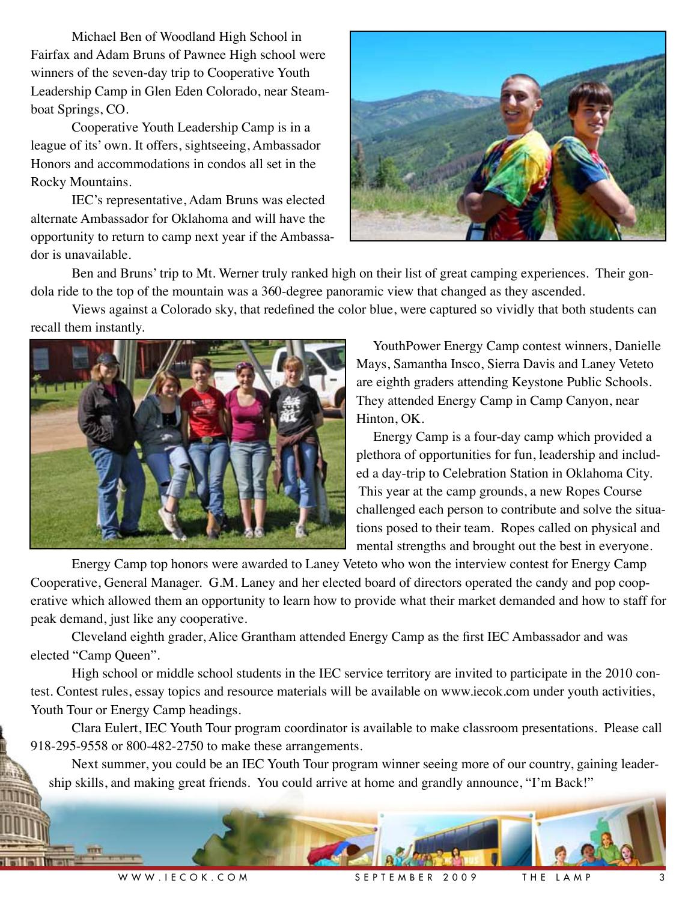Michael Ben of Woodland High School in Fairfax and Adam Bruns of Pawnee High school were winners of the seven-day trip to Cooperative Youth Leadership Camp in Glen Eden Colorado, near Steamboat Springs, CO.

Cooperative Youth Leadership Camp is in a league of its' own. It offers, sightseeing, Ambassador Honors and accommodations in condos all set in the Rocky Mountains.

IEC's representative, Adam Bruns was elected alternate Ambassador for Oklahoma and will have the opportunity to return to camp next year if the Ambassador is unavailable.



Ben and Bruns' trip to Mt. Werner truly ranked high on their list of great camping experiences. Their gondola ride to the top of the mountain was a 360-degree panoramic view that changed as they ascended.

Views against a Colorado sky, that redefined the color blue, were captured so vividly that both students can recall them instantly.



 YouthPower Energy Camp contest winners, Danielle Mays, Samantha Insco, Sierra Davis and Laney Veteto are eighth graders attending Keystone Public Schools. They attended Energy Camp in Camp Canyon, near Hinton, OK.

 Energy Camp is a four-day camp which provided a plethora of opportunities for fun, leadership and included a day-trip to Celebration Station in Oklahoma City. This year at the camp grounds, a new Ropes Course challenged each person to contribute and solve the situations posed to their team. Ropes called on physical and mental strengths and brought out the best in everyone.

Energy Camp top honors were awarded to Laney Veteto who won the interview contest for Energy Camp Cooperative, General Manager. G.M. Laney and her elected board of directors operated the candy and pop cooperative which allowed them an opportunity to learn how to provide what their market demanded and how to staff for peak demand, just like any cooperative.

Cleveland eighth grader, Alice Grantham attended Energy Camp as the first IEC Ambassador and was elected "Camp Queen".

High school or middle school students in the IEC service territory are invited to participate in the 2010 contest. Contest rules, essay topics and resource materials will be available on www.iecok.com under youth activities, Youth Tour or Energy Camp headings.

Clara Eulert, IEC Youth Tour program coordinator is available to make classroom presentations. Please call 918-295-9558 or 800-482-2750 to make these arrangements.

Next summer, you could be an IEC Youth Tour program winner seeing more of our country, gaining leadership skills, and making great friends. You could arrive at home and grandly announce, "I'm Back!"



W W W . I E C O K . C O M G E PTE MBER 2009 THE LAMP